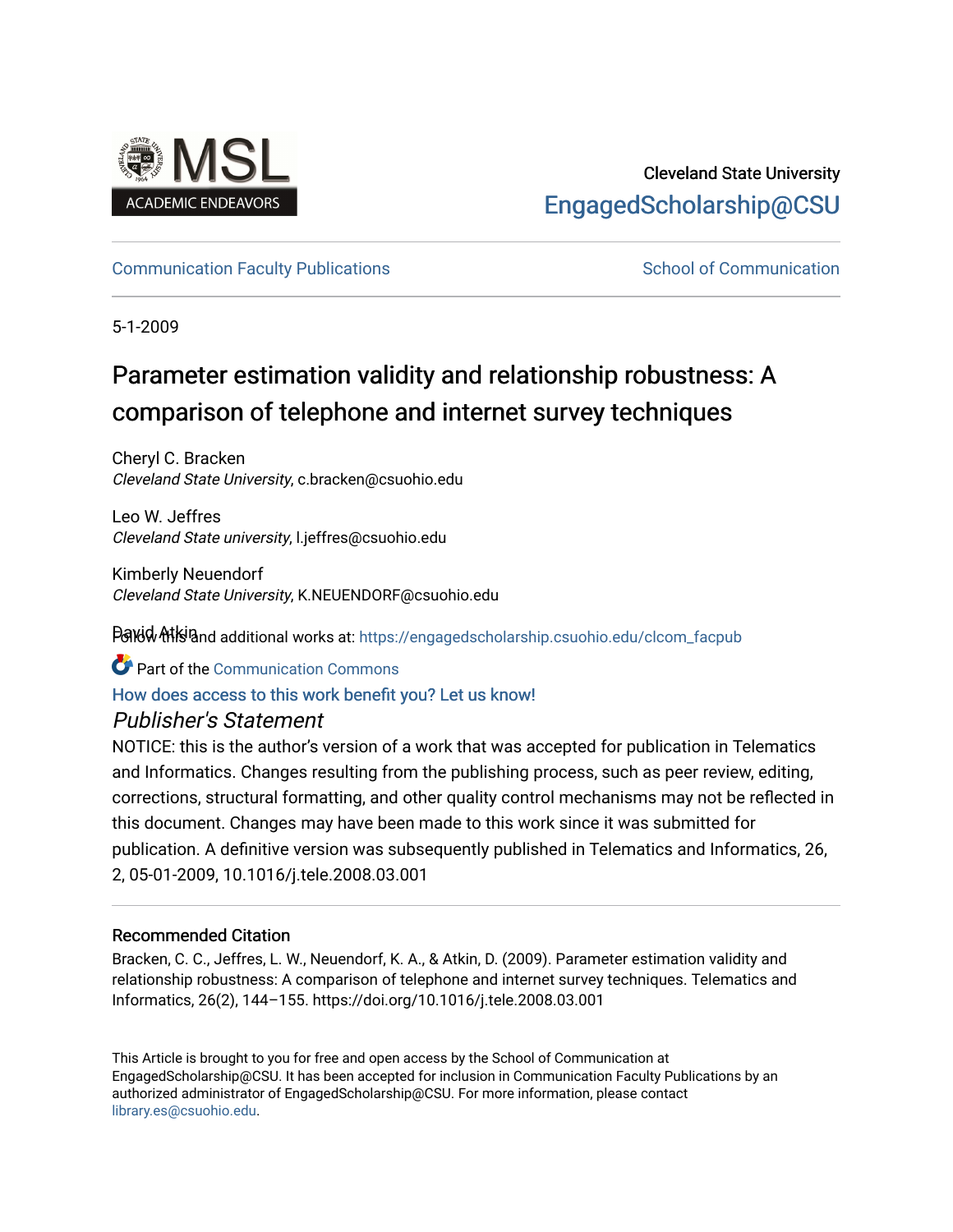

# Cleveland State University [EngagedScholarship@CSU](https://engagedscholarship.csuohio.edu/)

### [Communication Faculty Publications](https://engagedscholarship.csuohio.edu/clcom_facpub) [School of Communication](https://engagedscholarship.csuohio.edu/clcom) School of Communication

5-1-2009

# Parameter estimation validity and relationship robustness: A comparison of telephone and internet survey techniques

Cheryl C. Bracken Cleveland State University, c.bracken@csuohio.edu

Leo W. Jeffres Cleveland State university, l.jeffres@csuohio.edu

Kimberly Neuendorf Cleveland State University, K.NEUENDORF@csuohio.edu

Pavid Atkiand additional works at: https://engagedscholarship.csuohio.edu/clcom\_facpub

Part of the [Communication Commons](http://network.bepress.com/hgg/discipline/325?utm_source=engagedscholarship.csuohio.edu%2Fclcom_facpub%2F30&utm_medium=PDF&utm_campaign=PDFCoverPages) 

### [How does access to this work benefit you? Let us know!](http://library.csuohio.edu/engaged/)

### Publisher's Statement

NOTICE: this is the author's version of a work that was accepted for publication in Telematics and Informatics. Changes resulting from the publishing process, such as peer review, editing, corrections, structural formatting, and other quality control mechanisms may not be reflected in this document. Changes may have been made to this work since it was submitted for publication. A definitive version was subsequently published in Telematics and Informatics, 26, 2, 05-01-2009, 10.1016/j.tele.2008.03.001

### Recommended Citation

Bracken, C. C., Jeffres, L. W., Neuendorf, K. A., & Atkin, D. (2009). Parameter estimation validity and relationship robustness: A comparison of telephone and internet survey techniques. Telematics and Informatics, 26(2), 144–155. https://doi.org/10.1016/j.tele.2008.03.001

This Article is brought to you for free and open access by the School of Communication at EngagedScholarship@CSU. It has been accepted for inclusion in Communication Faculty Publications by an authorized administrator of EngagedScholarship@CSU. For more information, please contact [library.es@csuohio.edu.](mailto:library.es@csuohio.edu)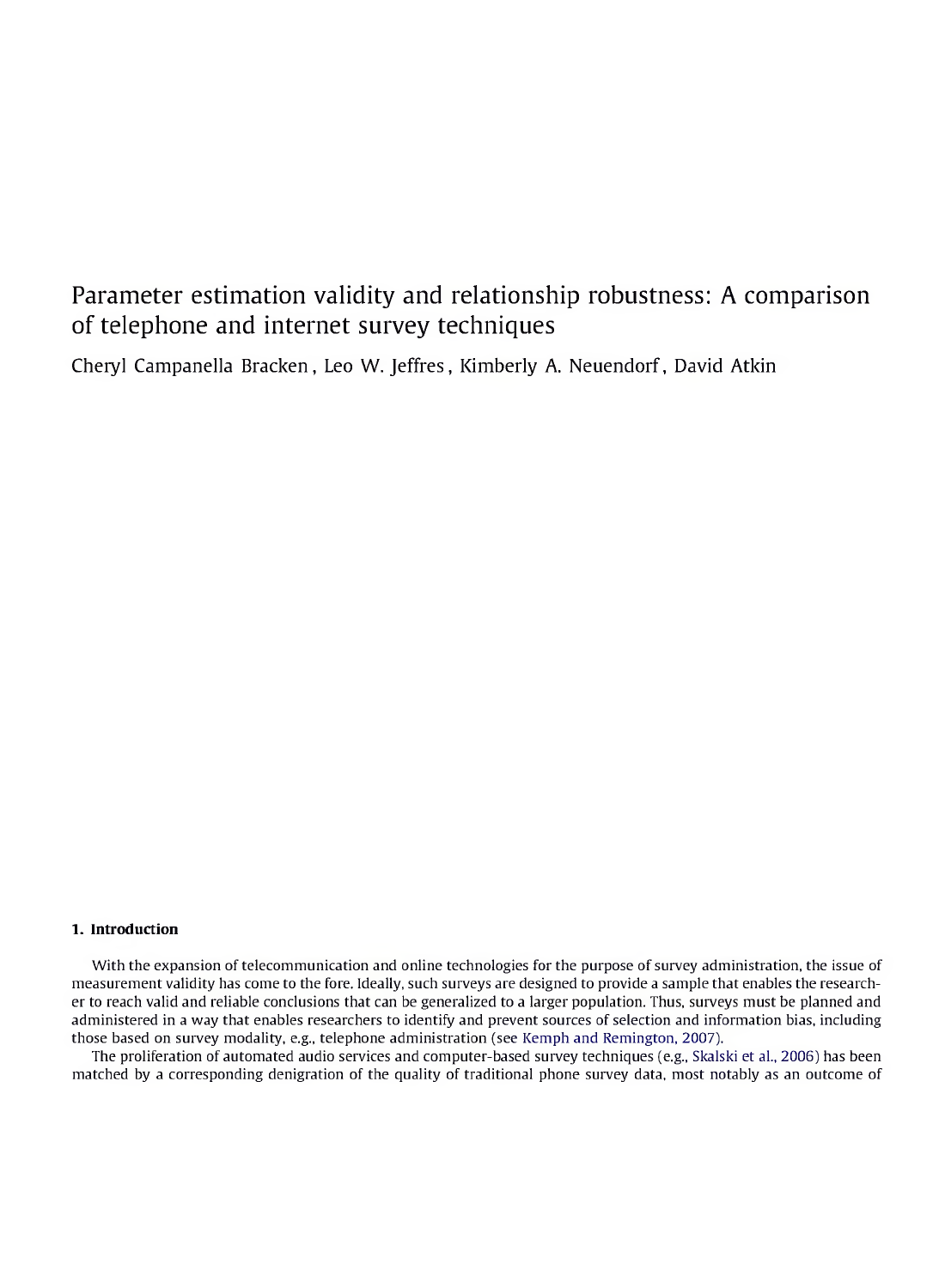## Parameter estimation validity and relationship robustness: A comparison of telephone and internet survey techniques

Cheryl Campanella Bracken, Leo W. Jeffres, Kimberly A. Neuendorf, David Atkin

#### **1. Introduction**

With the expansion of telecommunication and online technologies for the purpose of survey administration, the issue of measurement validity has come to the fore. Ideally, such surveys are designed to provide a sample that enables the researcher to reach valid and reliable conclusions that can be generalized to a larger population. Thus, surveys must be planned and administered in a way that enables researchers to identify and prevent sources of selection and information bias, including those based on survey modality, e.g., telephone administration (see Kemph and Remington, 2007).

The proliferation of automated audio services and computer-based survey techniques (e.g., Skalski et al., 2006) has been matched by a corresponding denigration of the quality of traditional phone survey data, most notably as an outcome of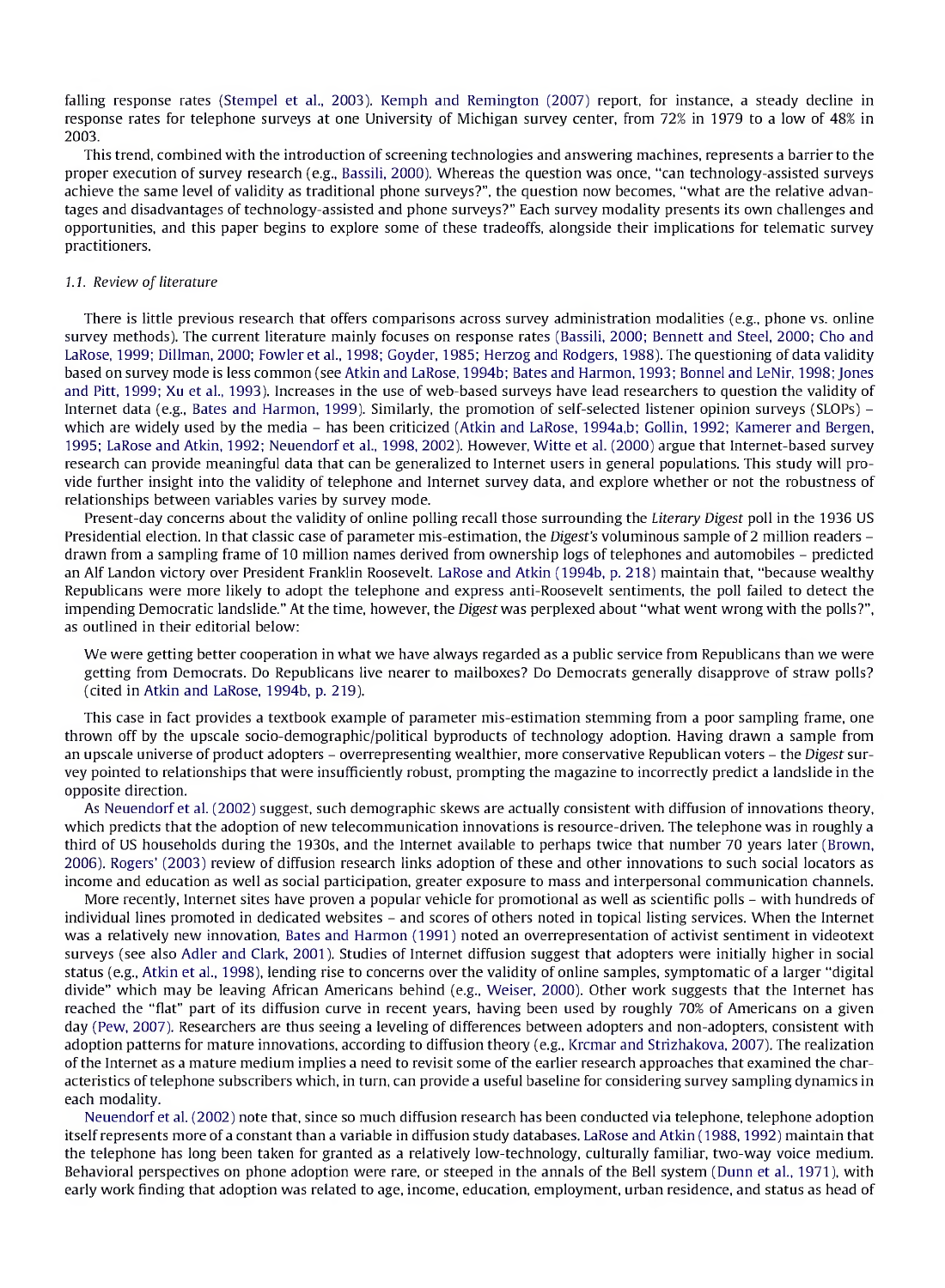falling response rates (Stempel et al., 2003). Kemph and Remington (2007) report, for instance, a steady decline in response rates for telephone surveys at one University of Michigan survey center, from 72% in 1979 to a low of 48% in 2003.

This trend, combined with the introduction of screening technologies and answering machines, represents a barrier to the proper execution of survey research (e.g., Bassili, 2000). Whereas the question was once, "can technology-assisted surveys achieve the same level of validity as traditional phone surveys?", the question now becomes, "what are the relative advantages and disadvantages of technology-assisted and phone surveys?" Each survey modality presents its own challenges and opportunities, and this paper begins to explore some of these tradeoffs, alongside their implications for telematic survey practitioners.

#### 1.1. *Review of literature*

There is little previous research that offers comparisons across survey administration modalities (e.g., phone vs. online survey methods). The current literature mainly focuses on response rates (Bassili, 2000; Bennett and Steel, 2000; Cho and LaRose, 1999; Dillman, 2000; Fowler et al., 1998; Goyder, 1985; Herzog and Rodgers, 1988). The questioning of data validity based on survey mode is less common (see Atkin and LaRose, 1994b; Bates and Harmon, 1993; Bonnel and LeNir, 1998; Jones and Pitt, 1999; Xu et al., 1993). Increases in the use of web-based surveys have lead researchers to question the validity of Internet data (e.g., Bates and Harmon, 1999). Similarly, the promotion of self-selected listener opinion surveys (SLOPs) which are widely used by the media - has been criticized (Atkin and LaRose, 1994a,b; Gollin, 1992; Kamerer and Bergen, 1995; LaRose and Atkin, 1992; Neuendorf et al., 1998, 2002). However, Witte et al. (2000) argue that Internet-based survey research can provide meaningful data that can be generalized to Internet users in general populations. This study will provide further insight into the validity of telephone and Internet survey data, and explore whether or not the robustness of relationships between variables varies by survey mode.

Present-day concerns about the validity of online polling recall those surrounding the *Literary Digest* poll in the 1936 US Presidential election. In that classic case of parameter mis-estimation, the *Digest's* voluminous sample of <sup>2</sup> million readers drawn from <sup>a</sup> sampling frame of <sup>10</sup> million names derived from ownership logs of telephones and automobiles - predicted an Alf Landon victory over President Franklin Roosevelt. LaRose and Atkin (1994b, p. 218) maintain that, "because wealthy Republicans were more likely to adopt the telephone and express anti-Roosevelt sentiments, the poll failed to detect the impending Democratic landslide." At the time, however, the Digest was perplexed about "what went wrong with the polls?", as outlined in their editorial below:

We were getting better cooperation in what we have always regarded as a public service from Republicans than we were getting from Democrats. Do Republicans live nearer to mailboxes? Do Democrats generally disapprove of straw polls? (cited in Atkin and LaRose, 1994b, p. 219).

This case in fact provides a textbook example of parameter mis-estimation stemming from a poor sampling frame, one thrown off by the upscale socio-demographic/political byproducts of technology adoption. Having drawn a sample from an upscale universe of product adopters - overrepresenting wealthier, more conservative Republican voters - the *Digest* survey pointed to relationships that were insufficiently robust, prompting the magazine to incorrectly predict a landslide in the opposite direction.

As Neuendorf et al. (2002) suggest, such demographic skews are actually consistent with diffusion of innovations theory, which predicts that the adoption of new telecommunication innovations is resource-driven. The telephone was in roughly a third of US households during the 1930s, and the Internet available to perhaps twice that number 70 years later (Brown, 2006). Rogers' (2003) review of diffusion research links adoption of these and other innovations to such social locators as income and education as well as social participation, greater exposure to mass and interpersonal communication channels.

More recently, Internet sites have proven <sup>a</sup> popular vehicle for promotional as well as scientific polls - with hundreds of individual lines promoted in dedicated websites - and scores of others noted in topical listing services. When the Internet was a relatively new innovation, Bates and Harmon (1991) noted an overrepresentation of activist sentiment in videotext surveys (see also Adler and Clark, 2001). Studies of Internet diffusion suggest that adopters were initially higher in social status (e.g., Atkin et al., 1998), lending rise to concerns over the validity of online samples, symptomatic of a larger "digital divide" which may be leaving African Americans behind (e.g., Weiser, 2000). Other work suggests that the Internet has reached the "flat" part of its diffusion curve in recent years, having been used by roughly 70% of Americans on <sup>a</sup> given day (Pew, 2007). Researchers are thus seeing a leveling of differences between adopters and non-adopters, consistent with adoption patterns for mature innovations, according to diffusion theory (e.g., Krcmar and Strizhakova, 2007). The realization of the Internet as a mature medium implies a need to revisit some of the earlier research approaches that examined the characteristics oftelephone subscribers which, in turn, can provide a useful baseline for considering survey sampling dynamics in each modality.

Neuendorf et al. (2002) note that, since so much diffusion research has been conducted via telephone, telephone adoption itself represents more of a constant than a variable in diffusion study databases. LaRose and Atkin (1988,1992) maintain that the telephone has long been taken for granted as a relatively low-technology, culturally familiar, two-way voice medium. Behavioral perspectives on phone adoption were rare, or steeped in the annals of the Bell system (Dunn et al., 1971), with early work finding that adoption was related to age, income, education, employment, urban residence, and status as head of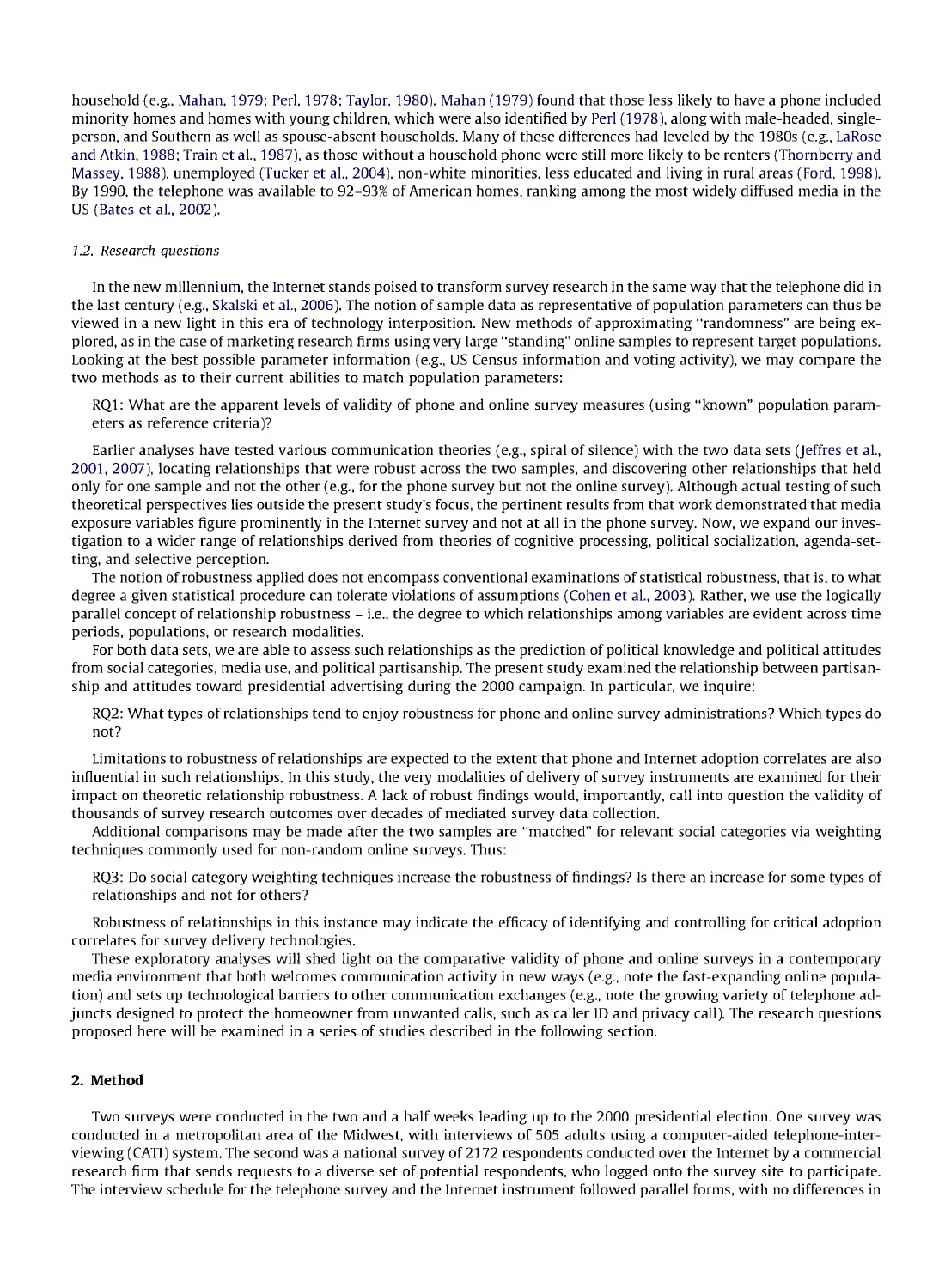household (e.g., Mahan, 1979; Perl, 1978; Taylor, 1980). Mahan (1979) found that those less likely to have a phone included minority homes and homes with young children, which were also identified by Perl (1978), along with male-headed, singleperson, and Southern as well as spouse-absent households. Many of these differences had leveled by the 1980s (e.g., LaRose and Atkin, 1988; Train et al., 1987), as those without a household phone were still more likely to be renters (Thornberry and Massey, 1988), unemployed (Tucker et al., 2004), non-white minorities, less educated and living in rural areas (Ford, 1998). By 1990, the telephone was available to 92-93% of American homes, ranking among the most widely diffused media in the US (Bates et al., 2002).

#### 1.2. *Research questions*

In the new millennium, the Internet stands poised to transform survey research in the same way that the telephone did in the last century (e.g., Skalski et al., 2006). The notion of sample data as representative of population parameters can thus be viewed in a new light in this era of technology interposition. New methods of approximating "randomness" are being explored, as in the case of marketing research firms using very large "standing" online samples to represent target populations. Looking at the best possible parameter information (e.g., US Census information and voting activity), we may compare the two methods as to their current abilities to match population parameters:

RQ1: What are the apparent levels of validity of phone and online survey measures (using "known" population parameters as reference criteria)?

Earlier analyses have tested various communication theories (e.g., spiral of silence) with the two data sets (Jeffres et al., 2001, 2007), locating relationships that were robust across the two samples, and discovering other relationships that held only for one sample and not the other (e.g., for the phone survey but not the online survey). Although actual testing of such theoretical perspectives lies outside the present study's focus, the pertinent results from that work demonstrated that media exposure variables figure prominently in the Internet survey and not at all in the phone survey. Now, we expand our investigation to a wider range of relationships derived from theories of cognitive processing, political socialization, agenda-setting, and selective perception.

The notion of robustness applied does not encompass conventional examinations of statistical robustness, that is, to what degree a given statistical procedure can tolerate violations of assumptions (Cohen et al., 2003). Rather, we use the logically parallel concept of relationship robustness - i.e., the degree to which relationships among variables are evident across time periods, populations, or research modalities.

For both data sets, we are able to assess such relationships as the prediction of political knowledge and political attitudes from social categories, media use, and political partisanship. The present study examined the relationship between partisanship and attitudes toward presidential advertising during the 2000 campaign. In particular, we inquire:

RQ2: What types of relationships tend to enjoy robustness for phone and online survey administrations? Which types do not?

Limitations to robustness of relationships are expected to the extent that phone and Internet adoption correlates are also influential in such relationships. In this study, the very modalities of delivery of survey instruments are examined for their impact on theoretic relationship robustness. A lack of robust findings would, importantly, call into question the validity of thousands of survey research outcomes over decades of mediated survey data collection.

Additional comparisons may be made after the two samples are "matched" for relevant social categories via weighting techniques commonly used for non-random online surveys. Thus:

RQ3: Do social category weighting techniques increase the robustness of findings? Is there an increase for some types of relationships and not for others?

Robustness of relationships in this instance may indicate the efficacy of identifying and controlling for critical adoption correlates for survey delivery technologies.

These exploratory analyses will shed light on the comparative validity of phone and online surveys in a contemporary media environment that both welcomes communication activity in new ways (e.g., note the fast-expanding online population) and sets up technological barriers to other communication exchanges (e.g., note the growing variety of telephone adjuncts designed to protect the homeowner from unwanted calls, such as caller ID and privacy call). The research questions proposed here will be examined in a series of studies described in the following section.

#### **2. Method**

Two surveys were conducted in the two and a half weeks leading up to the 2000 presidential election. One survey was conducted in a metropolitan area of the Midwest, with interviews of 505 adults using a computer-aided telephone-interviewing (CATI) system. The second was a national survey of 2172 respondents conducted over the Internet by a commercial research firm that sends requests to a diverse set of potential respondents, who logged onto the survey site to participate. The interview schedule for the telephone survey and the Internet instrument followed parallel forms, with no differences in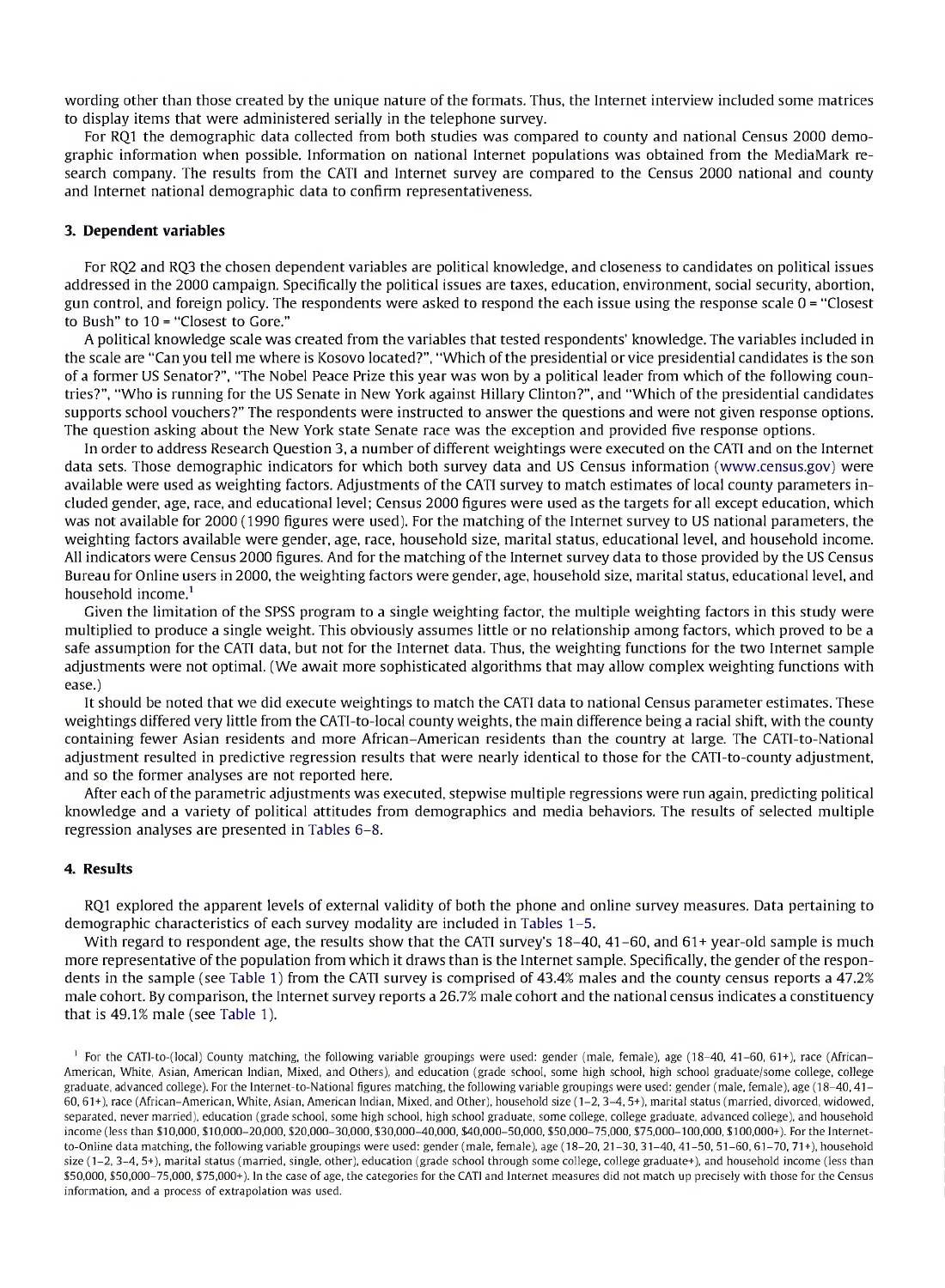wording other than those created by the unique nature of the formats. Thus, the Internet interview included some matrices to display items that were administered serially in the telephone survey.

For RQ1 the demographic data collected from both studies was compared to county and national Census 2000 demographic information when possible. Information on national Internet populations was obtained from the MediaMark research company. The results from the CATI and Internet survey are compared to the Census 2000 national and county and Internet national demographic data to confirm representativeness.

#### **3. Dependent variables**

For RQ2 and RQ3 the chosen dependent variables are political knowledge, and closeness to candidates on political issues addressed in the 2000 campaign. Specifically the political issues are taxes, education, environment, social security, abortion, gun control, and foreign policy. The respondents were asked to respond the each issue using the response scale 0 <sup>=</sup> "Closest to Bush" to 10 = "Closest to Gore."

A political knowledge scale was created from the variables that tested respondents' knowledge. The variables included in the scale are "Can you tell me where is Kosovo located?", "Which of the presidential or vice presidential candidates is the son of a former US Senator?", "The Nobel Peace Prize this year was won by a political leader from which of the following countries?", "Who is running for the US Senate in New York against Hillary Clinton?", and "Which of the presidential candidates supports school vouchers?" The respondents were instructed to answer the questions and were not given response options. The question asking about the New York state Senate race was the exception and provided five response options.

In order to address Research Question 3, a number of different weightings were executed on the CATI and on the Internet data sets. Those demographic indicators for which both survey data and US Census information ([www.census.gov\)](http://www.census.gov) were available were used as weighting factors. Adjustments of the CATI survey to match estimates of local county parameters included gender, age, race, and educational level; Census 2000 figures were used as the targets for all except education, which was not available for 2000 (1990 figures were used). For the matching of the Internet survey to US national parameters, the weighting factors available were gender, age, race, household size, marital status, educational level, and household income. All indicators were Census 2000 figures. And for the matching ofthe Internet survey data to those provided by the US Census Bureau for Online users in 2000, the weighting factors were gender, age, household size, marital status, educational level, and household income. $<sup>1</sup>$ </sup>

Given the limitation of the SPSS program to a single weighting factor, the multiple weighting factors in this study were multiplied to produce a single weight. This obviously assumes little or no relationship among factors, which proved to be a safe assumption for the CATI data, but not for the Internet data. Thus, the weighting functions for the two Internet sample adjustments were not optimal. (We await more sophisticated algorithms that may allow complex weighting functions with ease.)

It should be noted that we did execute weightings to match the CATI data to national Census parameter estimates. These weightings differed very little from the CATI-to-local county weights, the main difference being a racial shift, with the county containing fewer Asian residents and more African-American residents than the country at large. The CATI-to-National adjustment resulted in predictive regression results that were nearly identical to those for the CATI-to-county adjustment, and so the former analyses are not reported here.

After each ofthe parametric adjustments was executed, stepwise multiple regressions were run again, predicting political knowledge and a variety of political attitudes from demographics and media behaviors. The results of selected multiple regression analyses are presented in Tables 6-8.

#### **4. Results**

RQ1 explored the apparent levels of external validity of both the phone and online survey measures. Data pertaining to demographic characteristics of each survey modality are included in Tables 1-5.

With regard to respondent age, the results show that the CATI survey's 18-40, 41-60, and 61+ year-old sample is much more representative of the population from which it draws than is the Internet sample. Specifically, the gender of the respondents in the sample (see Table 1) from the CATI survey is comprised of 43.4% males and the county census reports a 47.2% male cohort. By comparison, the Internet survey reports a 26.7% male cohort and the national census indicates a constituency that is 49.1% male (see Table 1).

<sup>1</sup> For the CATI-to-(local) County matching, the following variable groupings were used: gender (male, female), age (18-40, 41-60, 61+), race (African-American, White, Asian, American Indian, Mixed, and Others), and education (grade school, some high school, high school graduate/some college, college graduate, advanced college). For the Internet-to-National figures matching, the following variable groupings were used: gender (male, female), age (18-40,41- 60,61+), race (African-American, White, Asian, American Indian, Mixed, and Other), household size (1-2,3-4, 5+), marital status (married, divorced, widowed, separated, never married), education (grade school, some high school, high school graduate, some college, college graduate, advanced college), and household income (less than \$10,000, \$10,000-20,000, \$20,000-30,000, \$30,000-40,000, \$40,000-50,000, \$50,000-75,000, \$75,000-100,000, \$100,000+). For the Internetto-Online data matching, the following variable groupings were used: gender (male, female), age (18-20, 21-30,31-40,41-50,51-60,61-70, 71+), household size (1-2, 3-4, 5+), marital status (married, single, other), education (grade school through some college, college graduate+), and household income (less than \$50,000, \$50,000-75,000, \$75,000+). In the case of age, the categories for the CATI and Internet measures did not match up precisely with those for the Census information, and a process of extrapolation was used.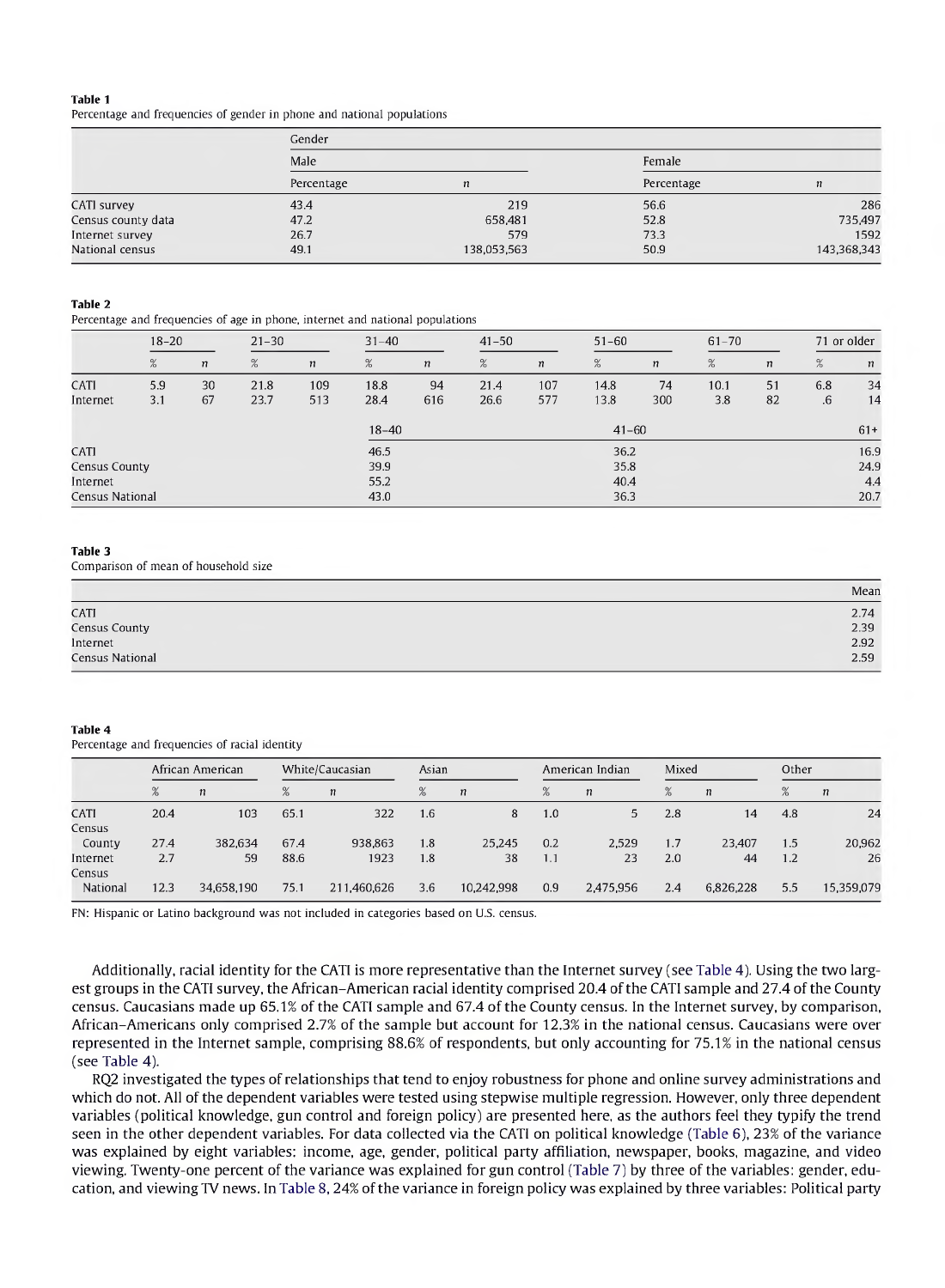Percentage and frequencies of gender in phone and national populations

|                    | Gender     |             |            |             |  |  |  |  |  |
|--------------------|------------|-------------|------------|-------------|--|--|--|--|--|
|                    | Male       |             | Female     |             |  |  |  |  |  |
|                    | Percentage | n           | Percentage | n           |  |  |  |  |  |
| CATI survey        | 43.4       | 219         | 56.6       | 286         |  |  |  |  |  |
| Census county data | 47.2       | 658,481     | 52.8       | 735 497     |  |  |  |  |  |
| Internet survey    | 26.7       | 579         | 73.3       | 1592        |  |  |  |  |  |
| National census    | 49.1       | 138,053,563 | 50.9       | 143,368,343 |  |  |  |  |  |

#### **Table 2**

Percentage and frequencies of age in phone, internet and national populations

|                 | $18 - 20$ |                  | $21 - 30$ |                  | $31 - 40$ | $41 - 50$        |      |                  | $51 - 60$ |                  | $61 - 70$ |                  | 71 or older |                  |
|-----------------|-----------|------------------|-----------|------------------|-----------|------------------|------|------------------|-----------|------------------|-----------|------------------|-------------|------------------|
|                 | %         | $\boldsymbol{n}$ | %         | $\boldsymbol{n}$ | %         | $\boldsymbol{n}$ | %    | $\boldsymbol{n}$ | %         | $\boldsymbol{n}$ | %         | $\boldsymbol{n}$ | %           | $\boldsymbol{n}$ |
| CATI            | 5.9       | 30               | 21.8      | 109              | 18.8      | 94               | 21.4 | 107              | 14.8      | 74               | 10.1      | 51               | 6.8         | 34               |
| Internet        | 3.1       | 67               | 23.7      | 513              | 28.4      | 616              | 26.6 | 577              | 13.8      | 300              | 3.8       | 82               | .6          | 14               |
|                 |           |                  |           |                  | $18 - 40$ |                  |      |                  | $41 - 60$ |                  |           |                  |             | $61+$            |
| CATI            |           |                  |           |                  | 46.5      |                  |      |                  | 36.2      |                  |           |                  |             | 16.9             |
| Census County   |           |                  |           |                  | 39.9      |                  |      |                  | 35.8      |                  |           |                  |             | 24.9             |
| Internet        |           |                  |           |                  | 55.2      |                  |      |                  | 40.4      |                  |           |                  |             | 4.4              |
| Census National |           |                  |           |                  | 43.0      |                  |      |                  | 36.3      |                  |           |                  |             | 20.7             |

#### **Table 3**

Comparison of mean of household size

|                 | Mean |
|-----------------|------|
| CATI            | 2.74 |
| Census County   | 2.39 |
| Internet        | 2.92 |
| Census National | 2.59 |

#### **Table 4**

Percentage and frequencies of racial identity

|                    |      | African American |      | White/Caucasian  | Asian |            | American Indian |           | Mixed |                  |     | Other      |  |
|--------------------|------|------------------|------|------------------|-------|------------|-----------------|-----------|-------|------------------|-----|------------|--|
|                    | %    | $\eta$           | %    | $\boldsymbol{n}$ | %     | $\eta$     | %               | $\eta$    | %     | $\boldsymbol{n}$ | %   | $\eta$     |  |
| CATI<br>Census     | 20.4 | 103              | 65.1 | 322              | 1.6   | 8          | 1.0             | 5.        | 2.8   | 14               | 4.8 | 24         |  |
| County             | 27.4 | 382.634          | 67.4 | 938.863          | 1.8   | 25.245     | 0.2             | 2.529     | 1.7   | 23.407           | 1.5 | 20,962     |  |
| Internet<br>Census | 2.7  | 59               | 88.6 | 1923             | 1.8   | 38         | 1.1             | 23        | 2.0   | 44               | 1.2 | 26         |  |
| National           | 12.3 | 34,658,190       | 75.1 | 211,460,626      | 3.6   | 10,242,998 | 0.9             | 2,475,956 | 2.4   | 6,826,228        | 5.5 | 15,359,079 |  |

FN: Hispanic or Latino background was not included in categories based on U.S. census.

Additionally, racial identity for the CATI is more representative than the Internet survey (see Table 4). Using the two largest groups in the CATI survey, the African-American racial identity comprised 20.4 ofthe CATI sample and 27.4 ofthe County census. Caucasians made up 65.1% of the CATI sample and 67.4 ofthe County census. In the Internet survey, by comparison, African-Americans only comprised 2.7% of the sample but account for 12.3% in the national census. Caucasians were over represented in the Internet sample, comprising 88.6% of respondents, but only accounting for 75.1% in the national census (see Table 4).

RQ2 investigated the types of relationships that tend to enjoy robustness for phone and online survey administrations and which do not. All of the dependent variables were tested using stepwise multiple regression. However, only three dependent variables (political knowledge, gun control and foreign policy) are presented here, as the authors feel they typify the trend seen in the other dependent variables. For data collected via the CATI on political knowledge (Table 6), 23% of the variance was explained by eight variables: income, age, gender, political party affiliation, newspaper, books, magazine, and video viewing. Twenty-one percent of the variance was explained for gun control (Table 7) by three of the variables: gender, education, and viewing TV news. In Table 8, 24% of the variance in foreign policy was explained by three variables: Political party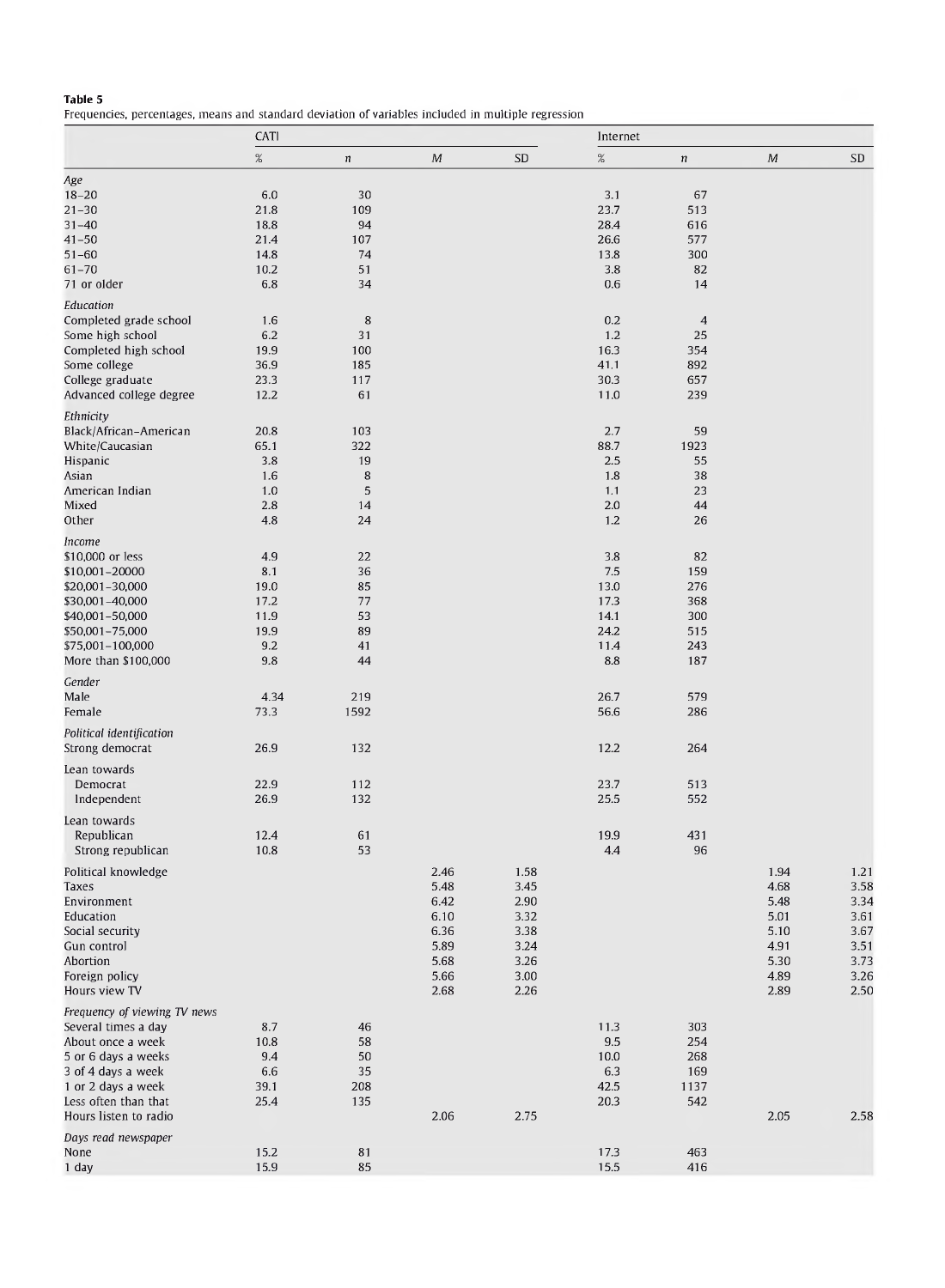Frequencies, percentages, means and standard deviation of variables included in multiple regression

|                              | CATI        |            |            |          | Internet   |                  |      |      |
|------------------------------|-------------|------------|------------|----------|------------|------------------|------|------|
|                              | $\%$        | $\sqrt{n}$ | ${\cal M}$ | SD       | $\%$       | $\boldsymbol{n}$ | M    | SD   |
| Age                          |             |            |            |          |            |                  |      |      |
| $18 - 20$                    | 6.0         | 30         |            |          | 3.1        | 67               |      |      |
| $21 - 30$                    | 21.8        | 109        |            |          | 23.7       | 513              |      |      |
| $31 - 40$                    | 18.8        | 94         |            |          | 28.4       | 616              |      |      |
| $41 - 50$                    | 21.4        | 107        |            |          | 26.6       | 577              |      |      |
| $51 - 60$                    | 14.8        | 74         |            |          | 13.8       | 300              |      |      |
| $61 - 70$<br>71 or older     | 10.2<br>6.8 | 51<br>34   |            |          | 3.8<br>0.6 | 82<br>14         |      |      |
|                              |             |            |            |          |            |                  |      |      |
| Education                    |             |            |            |          |            |                  |      |      |
| Completed grade school       | 1.6         | 8          |            |          | 0.2        | $\overline{4}$   |      |      |
| Some high school             | 6.2         | 31         |            |          | 1.2        | 25               |      |      |
| Completed high school        | 19.9        | 100        |            |          | 16.3       | 354              |      |      |
| Some college                 | 36.9        | 185        |            |          | 41.1       | 892              |      |      |
| College graduate             | 23.3        | 117        |            |          | 30.3       | 657              |      |      |
| Advanced college degree      | 12.2        | 61         |            |          | 11.0       | 239              |      |      |
| Ethnicity                    |             |            |            |          |            |                  |      |      |
| Black/African-American       | 20.8        | 103        |            |          | 2.7        | 59               |      |      |
| White/Caucasian              | 65.1        | 322        |            |          | 88.7       | 1923             |      |      |
| Hispanic                     | 3.8         | 19         |            |          | 2.5        | 55               |      |      |
| Asian                        | 1.6         | 8          |            |          | 1.8        | 38               |      |      |
| American Indian              | 1.0         | 5          |            |          | 1.1        | 23               |      |      |
| Mixed                        | 2.8         | 14         |            |          | 2.0        | 44               |      |      |
| Other                        | 4.8         | 24         |            |          | 1.2        | 26               |      |      |
| Income                       |             |            |            |          |            |                  |      |      |
| \$10,000 or less             | 4.9         | 22         |            |          | 3.8        | 82               |      |      |
| \$10,001-20000               | 8.1         | 36         |            |          | 7.5        | 159              |      |      |
| \$20,001-30,000              | 19.0        | 85         |            |          | 13.0       | 276              |      |      |
| \$30,001-40,000              | 17.2        | 77         |            |          | 17.3       | 368              |      |      |
| \$40,001-50,000              | 11.9        | 53         |            |          | 14.1       | 300              |      |      |
| \$50,001-75,000              | 19.9        | 89         |            |          | 24.2       | 515              |      |      |
| \$75,001-100,000             | 9.2         | 41         |            |          | 11.4       | 243              |      |      |
| More than \$100,000          | 9.8         | 44         |            |          | 8.8        | 187              |      |      |
| Gender                       |             |            |            |          |            |                  |      |      |
| Male                         | 4.34        | 219        |            |          | 26.7       | 579              |      |      |
| Female                       | 73.3        | 1592       |            |          | 56.6       | 286              |      |      |
|                              |             |            |            |          |            |                  |      |      |
| Political identification     |             |            |            |          |            |                  |      |      |
| Strong democrat              | 26.9        | 132        |            |          | 12.2       | 264              |      |      |
| Lean towards                 |             |            |            |          |            |                  |      |      |
| Democrat                     | 22.9        | 112        |            |          | 23.7       | 513              |      |      |
| Independent                  | 26.9        | 132        |            |          | 25.5       | 552              |      |      |
| Lean towards                 |             |            |            |          |            |                  |      |      |
| Republican                   | 12.4        | 61         |            |          | 19.9       | 431              |      |      |
| Strong republican            | 10.8        | 53         |            |          | 4.4        | 96               |      |      |
|                              |             |            |            |          |            |                  |      |      |
| Political knowledge          |             |            | 2.46       | 1.58     |            |                  | 1.94 | 1.21 |
| Taxes                        |             |            | 5.48       | 3.45     |            |                  | 4.68 | 3.58 |
| Environment                  |             |            | 6.42       | $2.90\,$ |            |                  | 5.48 | 3.34 |
| Education                    |             |            | 6.10       | 3.32     |            |                  | 5.01 | 3.61 |
| Social security              |             |            | 6.36       | 3.38     |            |                  | 5.10 | 3.67 |
| Gun control                  |             |            | 5.89       | 3.24     |            |                  | 4.91 | 3.51 |
| Abortion                     |             |            | 5.68       | 3.26     |            |                  | 5.30 | 3.73 |
| Foreign policy               |             |            | 5.66       | 3.00     |            |                  | 4.89 | 3.26 |
| Hours view TV                |             |            | 2.68       | 2.26     |            |                  | 2.89 | 2.50 |
| Frequency of viewing TV news |             |            |            |          |            |                  |      |      |
| Several times a day          | 8.7         | 46         |            |          | 11.3       | 303              |      |      |
| About once a week            | 10.8        | 58         |            |          | 9.5        | 254              |      |      |
| 5 or 6 days a weeks          | 9.4         | 50         |            |          | 10.0       | 268              |      |      |
| 3 of 4 days a week           | 6.6         | 35         |            |          | 6.3        | 169              |      |      |
| 1 or 2 days a week           | 39.1        | 208        |            |          | 42.5       | 1137             |      |      |
| Less often than that         | 25.4        | 135        |            |          | 20.3       | 542              |      |      |
| Hours listen to radio        |             |            | 2.06       | 2.75     |            |                  | 2.05 | 2.58 |
| Days read newspaper          |             |            |            |          |            |                  |      |      |
| None                         | 15.2        | 81         |            |          | 17.3       | 463              |      |      |
| 1 day                        | 15.9        | 85         |            |          | 15.5       | 416              |      |      |
|                              |             |            |            |          |            |                  |      |      |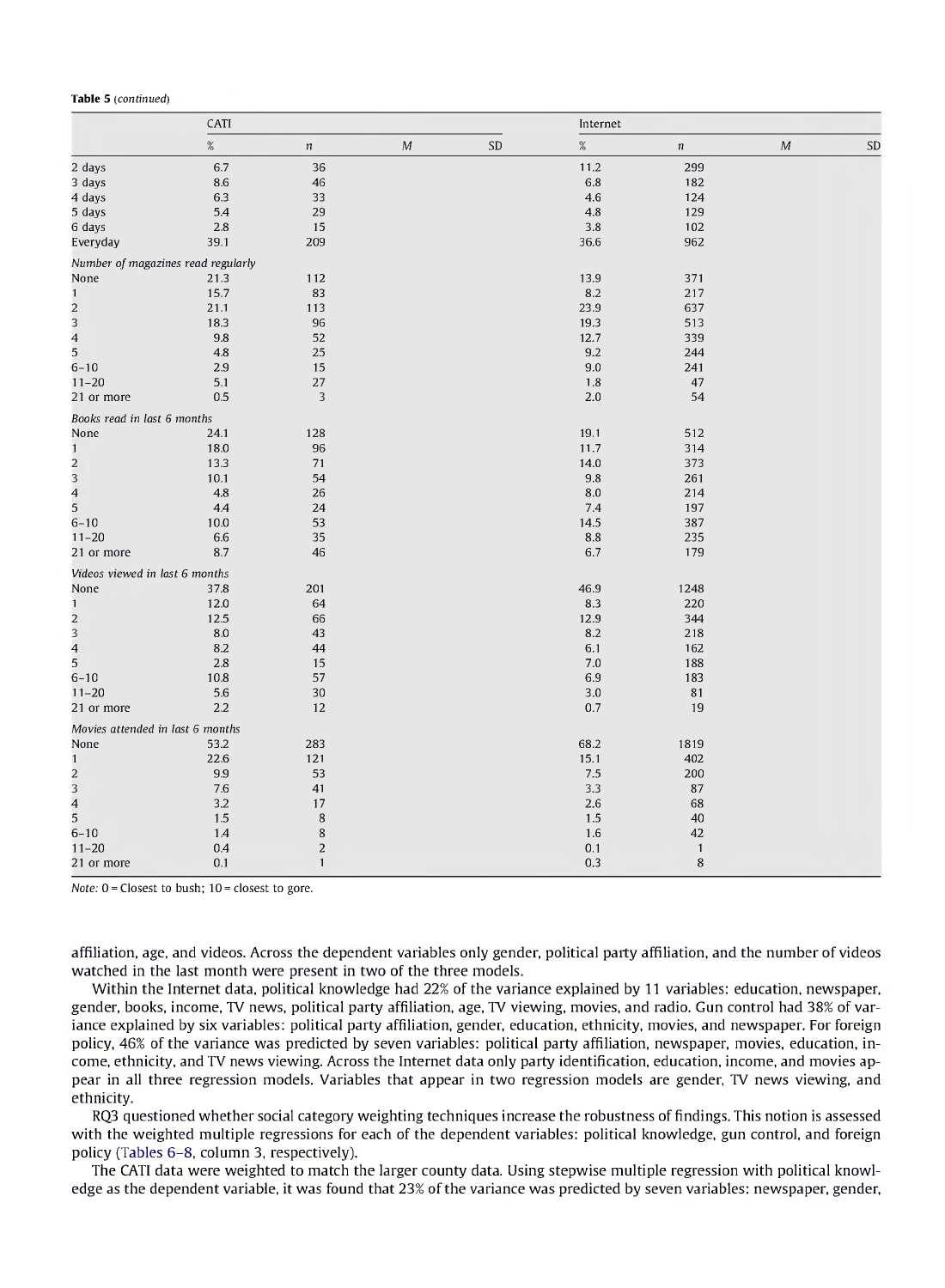#### **Table 5** *(continued)*

|                                            | CATI |                  |                  |    | Internet |                  |   |    |  |
|--------------------------------------------|------|------------------|------------------|----|----------|------------------|---|----|--|
|                                            | $\%$ | $\boldsymbol{n}$ | $\boldsymbol{M}$ | SD | $\%$     | $\boldsymbol{n}$ | M | SD |  |
| 2 days                                     | 6.7  | 36               |                  |    | 11.2     | 299              |   |    |  |
| 3 days                                     | 8.6  | 46               |                  |    | 6.8      | 182              |   |    |  |
| 4 days                                     | 6.3  | 33               |                  |    | 4.6      | 124              |   |    |  |
| 5 days                                     | 5.4  | 29               |                  |    | 4.8      | 129              |   |    |  |
| 6 days                                     | 2.8  | 15               |                  |    | 3.8      | 102              |   |    |  |
| Everyday                                   | 39.1 | 209              |                  |    | 36.6     | 962              |   |    |  |
| Number of magazines read regularly         |      |                  |                  |    |          |                  |   |    |  |
| None                                       | 21.3 | 112              |                  |    | 13.9     | 371              |   |    |  |
| $\mathbf{1}$                               | 15.7 | 83               |                  |    | 8.2      | 217              |   |    |  |
|                                            | 21.1 | 113              |                  |    | 23.9     | 637              |   |    |  |
| $\begin{array}{c} 2 \\ 3 \\ 4 \end{array}$ | 18.3 | 96               |                  |    | 19.3     | 513              |   |    |  |
|                                            | 9.8  | 52               |                  |    | 12.7     | 339              |   |    |  |
| 5                                          | 4.8  | 25               |                  |    | 9.2      | 244              |   |    |  |
| $6 - 10$                                   | 2.9  | 15               |                  |    | 9.0      | 241              |   |    |  |
| $11 - 20$                                  | 5.1  | 27               |                  |    | 1.8      | 47               |   |    |  |
| 21 or more                                 | 0.5  | 3                |                  |    | 2.0      | 54               |   |    |  |
| Books read in last 6 months                |      |                  |                  |    |          |                  |   |    |  |
| None                                       | 24.1 | 128              |                  |    | 19.1     | 512              |   |    |  |
| $\mathbf{1}$                               | 18.0 | 96               |                  |    | 11.7     | 314              |   |    |  |
| $\overline{c}$                             | 13.3 | 71               |                  |    | 14.0     | 373              |   |    |  |
| 3                                          | 10.1 | 54               |                  |    | 9.8      | 261              |   |    |  |
| $\overline{\mathbf{4}}$                    | 4.8  | 26               |                  |    | 8.0      | 214              |   |    |  |
| 5                                          | 4.4  | 24               |                  |    | 7.4      | 197              |   |    |  |
| $6 - 10$                                   | 10.0 | 53               |                  |    | 14.5     | 387              |   |    |  |
| $11 - 20$                                  | 6.6  | 35               |                  |    | 8.8      | 235              |   |    |  |
| 21 or more                                 | 8.7  | 46               |                  |    | 6.7      | 179              |   |    |  |
| Videos viewed in last 6 months             |      |                  |                  |    |          |                  |   |    |  |
| None                                       | 37.8 | 201              |                  |    | 46.9     | 1248             |   |    |  |
| $\mathbf{1}$                               | 12.0 | 64               |                  |    | 8.3      | 220              |   |    |  |
|                                            | 12.5 | 66               |                  |    | 12.9     | 344              |   |    |  |
| $\begin{array}{c} 2 \\ 3 \\ 4 \end{array}$ | 8.0  | 43               |                  |    | 8.2      | 218              |   |    |  |
|                                            | 8.2  | 44               |                  |    | 6.1      | 162              |   |    |  |
| 5                                          | 2.8  | 15               |                  |    | 7.0      | 188              |   |    |  |
| $6 - 10$                                   | 10.8 | 57               |                  |    | 6.9      | 183              |   |    |  |
| $11 - 20$                                  | 5.6  | 30               |                  |    | 3.0      | 81               |   |    |  |
| 21 or more                                 | 2.2  | 12               |                  |    | 0.7      | 19               |   |    |  |
| Movies attended in last 6 months           |      |                  |                  |    |          |                  |   |    |  |
| None                                       | 53.2 | 283              |                  |    | 68.2     | 1819             |   |    |  |
| $\mathbf{1}$                               | 22.6 | 121              |                  |    | 15.1     | 402              |   |    |  |
| $\overline{\mathbf{c}}$                    | 9.9  | 53               |                  |    | 7.5      | 200              |   |    |  |
| 3                                          | 7.6  | 41               |                  |    | 3.3      | 87               |   |    |  |
| $\overline{\mathbf{4}}$                    | 3.2  | 17               |                  |    | 2.6      | 68               |   |    |  |
| 5                                          | 1.5  | 8                |                  |    | 1.5      | 40               |   |    |  |
| $6 - 10$                                   | 1.4  | 8                |                  |    | 1.6      | 42               |   |    |  |
| $11 - 20$                                  | 0.4  | $\boldsymbol{2}$ |                  |    | 0.1      | $\mathbf{1}$     |   |    |  |
| 21 or more                                 | 0.1  | $\mathbf{1}$     |                  |    | 0.3      | 8                |   |    |  |

*Note:*  $0 =$  Closest to bush;  $10 =$  closest to gore.

affiliation, age, and videos. Across the dependent variables only gender, political party affiliation, and the number of videos watched in the last month were present in two of the three models.

Within the Internet data, political knowledge had 22% of the variance explained by 11 variables: education, newspaper, gender, books, income, TV news, political party affiliation, age, TV viewing, movies, and radio. Gun control had 38% of variance explained by six variables: political party affiliation, gender, education, ethnicity, movies, and newspaper. For foreign policy, 46% of the variance was predicted by seven variables: political party affiliation, newspaper, movies, education, income, ethnicity, and TV news viewing. Across the Internet data only party identification, education, income, and movies appear in all three regression models. Variables that appear in two regression models are gender, TV news viewing, and ethnicity.

RQ3 questioned whether social category weighting techniques increase the robustness of findings. This notion is assessed with the weighted multiple regressions for each of the dependent variables: political knowledge, gun control, and foreign policy (Tables 6-8, column 3, respectively).

The CATI data were weighted to match the larger county data. Using stepwise multiple regression with political knowledge as the dependent variable, it was found that 23% of the variance was predicted by seven variables: newspaper, gender,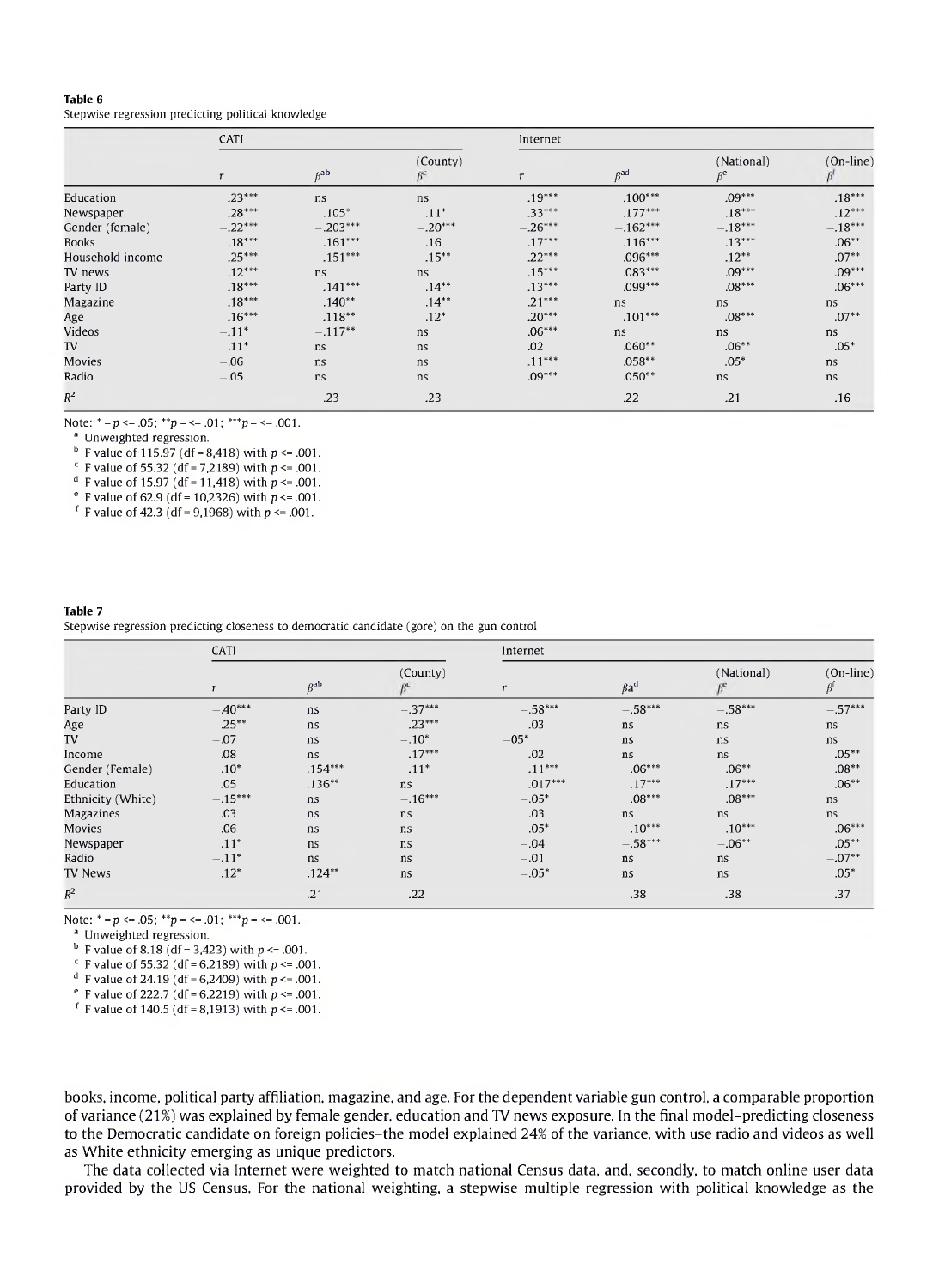Stepwise regression predicting political knowledge

|                  | CATI          |                   |           | Internet     |                   |                                    |             |  |  |
|------------------|---------------|-------------------|-----------|--------------|-------------------|------------------------------------|-------------|--|--|
|                  | $\mathcal{L}$ | $B$ <sup>ab</sup> | (County)  | $\mathsf{r}$ | $B$ <sup>ad</sup> | (National)<br>$\beta$ <sup>e</sup> | $(On-line)$ |  |  |
| Education        | $.23***$      | ns                | ns.       | $.19***$     | $.100***$         | $.09***$                           | $.18***$    |  |  |
| Newspaper        | $.28***$      | $.105*$           | $.11*$    | $.33***$     | $.177***$         | $.18***$                           | $.12***$    |  |  |
| Gender (female)  | $.22***$      | $-.203***$        | $-.20***$ | $-.26***$    | $-.162***$        | $-.18***$                          | $-.18***$   |  |  |
| <b>Books</b>     | $.18***$      | $.161***$         | .16       | $.17***$     | $.116***$         | $.13***$                           | $.06**$     |  |  |
| Household income | $.25***$      | $.151***$         | $.15***$  | $.22***$     | $.096***$         | $.12**$                            | $.07**$     |  |  |
| TV news          | $.12***$      | ns                | ns        | $.15***$     | $.083***$         | $.09***$                           | $.09***$    |  |  |
| Party ID         | $.18***$      | $.141***$         | $.14***$  | $.13***$     | $.099***$         | $.08***$                           | $.06***$    |  |  |
| Magazine         | $.18***$      | $.140**$          | $.14***$  | $.21***$     | ns                | ns                                 | ns          |  |  |
| Age              | $.16***$      | $.118***$         | $.12*$    | $.20***$     | $.101***$         | $.08***$                           | $.07**$     |  |  |
| Videos           | $-.11*$       | $-.117**$         | ns        | $.06***$     | ns                | ns                                 | ns          |  |  |
| TV               | $.11*$        | ns                | ns.       | .02          | $.060**$          | $.06**$                            | $.05*$      |  |  |
| Movies           | $-.06$        | ns                | ns        | $.11***$     | $.058**$          | $.05*$                             | ns          |  |  |
| Radio            | $-.05$        | ns                | ns        | $.09***$     | $.050**$          | ns                                 | ns          |  |  |
| $\mathbb{R}^2$   |               | .23               | .23       |              | .22               | .21                                | .16         |  |  |

Note:  $* = p \le 0.05$ ;  $* * p \le -101$ ;  $* * p \le -1001$ .

<sup>a</sup> Unweighted regression.

 $<sup>b</sup>$  F value of 115.97 (df = 8,418) with  $p \le 0.001$ .</sup>

 $c$  F value of 55.32 (df = 7,2189) with  $p \le 0.001$ .

<sup>d</sup> F value of 15.97 (df = 11,418) with  $p \le 0.001$ .

 $e$  F value of 62.9 (df = 10,2326) with  $p \le 0.001$ .

<sup>f</sup> F value of 42.3 (df = 9,1968) with  $p \le 0.001$ .

#### **Table 7** Stepwise regression predicting closeness to democratic candidate (gore) on the gun control

|                   | CATI      |                       |                       | Internet  |                        |            |                                |  |
|-------------------|-----------|-----------------------|-----------------------|-----------|------------------------|------------|--------------------------------|--|
|                   | r         | $\beta$ <sup>ab</sup> | (County)<br>$\beta^a$ | r         | $\beta$ a <sup>d</sup> | (National) | $(On-line)$<br>$\beta^{\rm f}$ |  |
| Party ID          | $-.40***$ | ns                    | $-.37***$             | $-.58***$ | $-.58***$              | $-.58***$  | $-.57***$                      |  |
| Age               | $.25***$  | ns                    | $.23***$              | $-.03$    | ns                     | ns         | ns                             |  |
| TV                | $-.07$    | ns                    | $-.10*$               | $-05*$    | ns                     | ns         | ns                             |  |
| Income            | $-.08$    | ns                    | $.17***$              | $-.02$    | ns                     | ns         | $.05***$                       |  |
| Gender (Female)   | $.10*$    | $.154***$             | $.11*$                | $.11***$  | $.06***$               | $.06**$    | $.08**$                        |  |
| Education         | .05       | $.136**$              | ns                    | $.017***$ | $.17***$               | $.17***$   | $.06**$                        |  |
| Ethnicity (White) | $-.15***$ | ns.                   | $-.16***$             | $-.05*$   | $.08***$               | $.08***$   | ns                             |  |
| Magazines         | .03       | ns                    | ns                    | .03       | ns                     | ns         | ns                             |  |
| Movies            | .06       | ns                    | ns                    | $.05*$    | $.10***$               | $.10***$   | $.06***$                       |  |
| Newspaper         | $.11*$    | ns                    | ns                    | $-.04$    | $-.58***$              | $-.06**$   | $.05***$                       |  |
| Radio             | $-.11*$   | ns                    | ns                    | $-.01$    | ns                     | ns         | $-.07**$                       |  |
| TV News           | $.12*$    | $.124**$              | ns                    | $-.05*$   | ns                     | ns         | $.05*$                         |  |
| $R^2$             |           | .21                   | .22                   |           | .38                    | .38        | .37                            |  |

Note:  $^* = p \le 0.05$ ;  $^{**}p = \le 0.01$ ;  $^{***}p = \le 0.001$ .

<sup>a</sup> Unweighted regression.

 $^{b}$  F value of 8.18 (df = 3,423) with  $p \le 0.001$ .

F value of 55.32 (df = 6,2189) with  $p \le 0.001$ .

<sup>d</sup> F value of 24.19 (df = 6,2409) with  $p \le 0.001$ .

<sup>e</sup> F value of 222.7 (df = 6,2219) with  $p \le 0.001$ .

<sup>f</sup> F value of 140.5 (df = 8,1913) with  $p \le 0.001$ .

books, income, political party affiliation, magazine, and age. For the dependent variable gun control, a comparable proportion of variance (21%) was explained by female gender, education and TV news exposure. In the final model-predicting closeness to the Democratic candidate on foreign policies-the model explained 24% of the variance, with use radio and videos as well as White ethnicity emerging as unique predictors.

The data collected via Internet were weighted to match national Census data, and, secondly, to match online user data provided by the US Census. For the national weighting, a stepwise multiple regression with political knowledge as the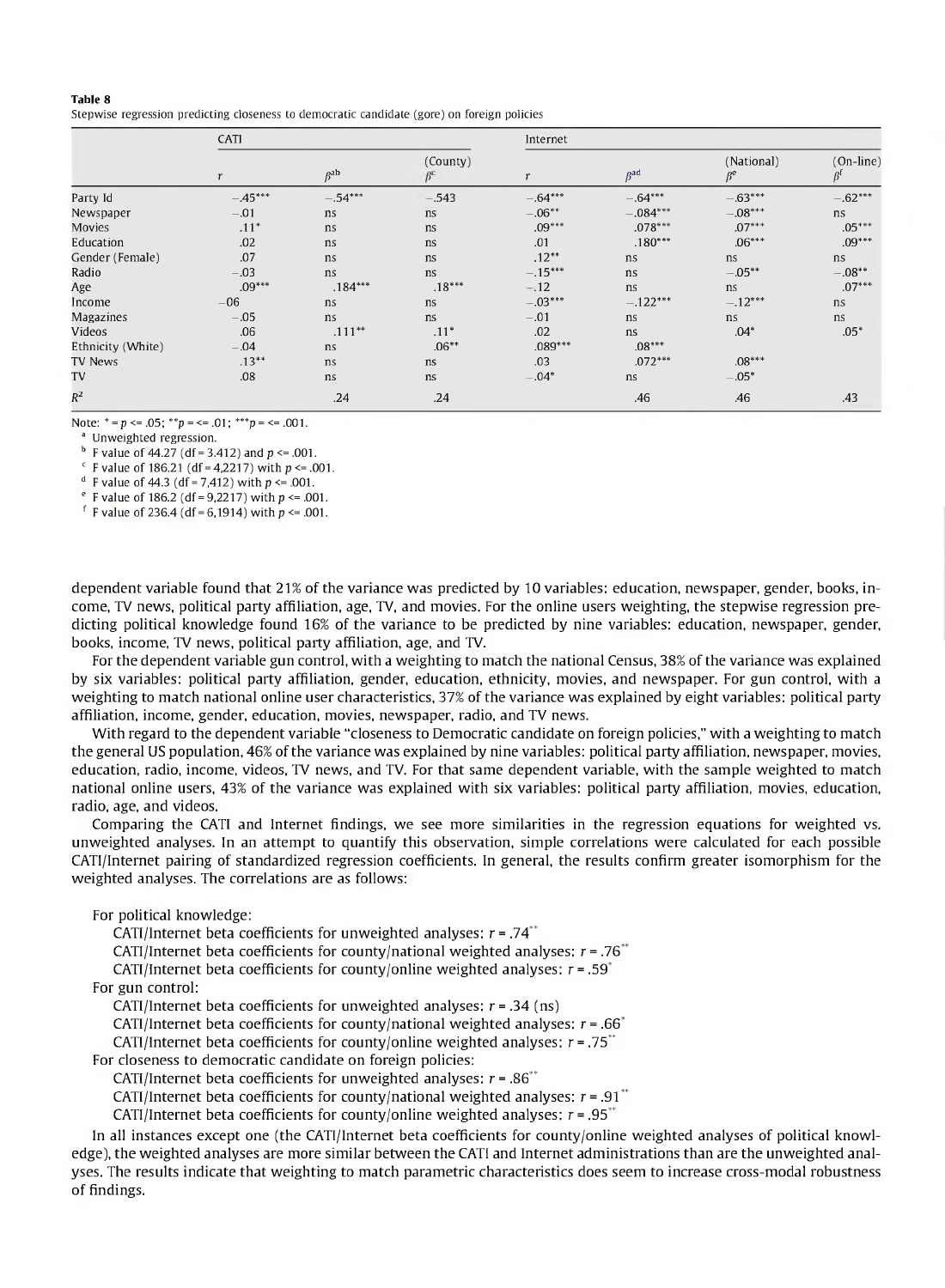Stepwise regression predicting closeness to democratic candidate (gore) on foreign policies

|                   | CATI     |                       |               | Internet  |                       |                         |                                |  |
|-------------------|----------|-----------------------|---------------|-----------|-----------------------|-------------------------|--------------------------------|--|
|                   | r        | $\beta$ <sup>ab</sup> | (County)<br>ß | r         | $\beta$ <sup>ad</sup> | (National)<br>$\beta^e$ | $(On-line)$<br>$\beta^{\rm f}$ |  |
| Party Id          | $-45***$ | $-.54***$             | $-543$        | $-.64***$ | $-.64***$             | $-.63***$               | $-.62***$                      |  |
| Newspaper         | $-.01$   | ns                    | ns.           | $-.06***$ | $-.084***$            | $-.08***$               | ns                             |  |
| <b>Movies</b>     | $.11*$   | ns                    | ns.           | $.09***$  | $.078***$             | $.07***$                | $.05***$                       |  |
| Education         | .02      | ns                    | ns            | .01       | $.180***$             | $.06***$                | $.09***$                       |  |
| Gender (Female)   | .07      | ns                    | ns            | $.12**$   | ns                    | ns                      | ns                             |  |
| Radio             | $-.03$   | ns                    | ns            | $-.15***$ | ns                    | $-.05**$                | $-.08**$                       |  |
| Age               | $.09***$ | $.184***$             | $.18***$      | $-.12$    | ns.                   | ns.                     | $.07***$                       |  |
| Income            | $-06$    | ns                    | ns.           | $-.03***$ | $-.122***$            | $-.12***$               | ns                             |  |
| Magazines         | $-.05$   | ns.                   | ns.           | $-.01$    | ns                    | ns.                     | ns                             |  |
| Videos            | .06      | $.111**$              | $.11*$        | .02       | ns                    | $.04*$                  | $.05*$                         |  |
| Ethnicity (White) | $-.04$   | ns                    | $.06**$       | $.089***$ | $.08***$              |                         |                                |  |
| <b>TV News</b>    | $.13***$ | ns                    | ns            | .03       | $.072***$             | $.08***$                |                                |  |
| TV                | .08      | ns                    | ns            | $-.04*$   | ns                    | $-.05*$                 |                                |  |
| $R^2$             |          | .24                   | .24           |           | .46                   | .46                     | .43                            |  |

Note:  $* = p \le 0.05$ ;  $* * p = \le 0.01$ ;  $* * p = \le 0.001$ .

<sup>a</sup> Unweighted regression.

 $<sup>b</sup>$  F value of 44.27 (df = 3.412) and p <= .001.</sup>

 $c$  F value of 186.21 (df = 4,2217) with  $p \le 0.001$ .

<sup>d</sup> F value of 44.3 (df = 7.412) with  $p \le 0.001$ .

<sup>e</sup> F value of 186.2 (df = 9,2217) with  $p \le 0.001$ .

<sup>f</sup> F value of 236.4 (df = 6,1914) with  $p \le 0.001$ .

dependent variable found that 21% of the variance was predicted by 10 variables: education, newspaper, gender, books, income, TV news, political party affiliation, age, TV, and movies. For the online users weighting, the stepwise regression predicting political knowledge found 16% of the variance to be predicted by nine variables: education, newspaper, gender, books, income, TV news, political party affiliation, age, and TV.

For the dependent variable gun control, with a weighting to match the national Census, 38% of the variance was explained by six variables: political party affiliation, gender, education, ethnicity, movies, and newspaper. For gun control, with a weighting to match national online user characteristics, 37% of the variance was explained by eight variables: political party affiliation, income, gender, education, movies, newspaper, radio, and TV news.

With regard to the dependent variable "closeness to Democratic candidate on foreign policies," with a weighting to match the general US population, 46% ofthe variance was explained by nine variables: political party affiliation, newspaper, movies, education, radio, income, videos, TV news, and TV. For that same dependent variable, with the sample weighted to match national online users, 43% of the variance was explained with six variables: political party affiliation, movies, education, radio, age, and videos.

Comparing the CATI and Internet findings, we see more similarities in the regression equations for weighted vs. unweighted analyses. In an attempt to quantify this observation, simple correlations were calculated for each possible CATl/Internet pairing of standardized regression coefficients. In general, the results confirm greater isomorphism for the weighted analyses. The correlations are as follows:

For political knowledge:

CATI/Internet beta coefficients for unweighted analyses:  $r = .74$ <sup>\*\*</sup>

CATI/Internet beta coefficients for county/national weighted analyses:  $r = .76$ <sup>\*\*</sup>

CATI/Internet beta coefficients for county/online weighted analyses:  $r = .59^{\circ}$ 

For gun control:

CATI/Internet beta coefficients for unweighted analyses: *r =* .34 (ns)

CATI/Internet beta coefficients for county/national weighted analyses:  $r = .66^{\circ}$ 

CATI/Internet beta coefficients for county/online weighted analyses: *r =* .75\*\*

For closeness to democratic candidate on foreign policies:

CATI/Internet beta coefficients for unweighted analyses:  $r = .86$ <sup>\*\*</sup>

CATI/Internet beta coefficients for county/national weighted analyses:  $r = .91$ <sup>\*\*</sup>

CATI/Internet beta coefficients for county/online weighted analyses:  $r = .95$ <sup>\*\*</sup>

In all instances except one (the CATI/Internet beta coefficients for county/online weighted analyses of political knowledge), the weighted analyses are more similar between the CATI and Internet administrations than are the unweighted analyses. The results indicate that weighting to match parametric characteristics does seem to increase cross-modal robustness of findings.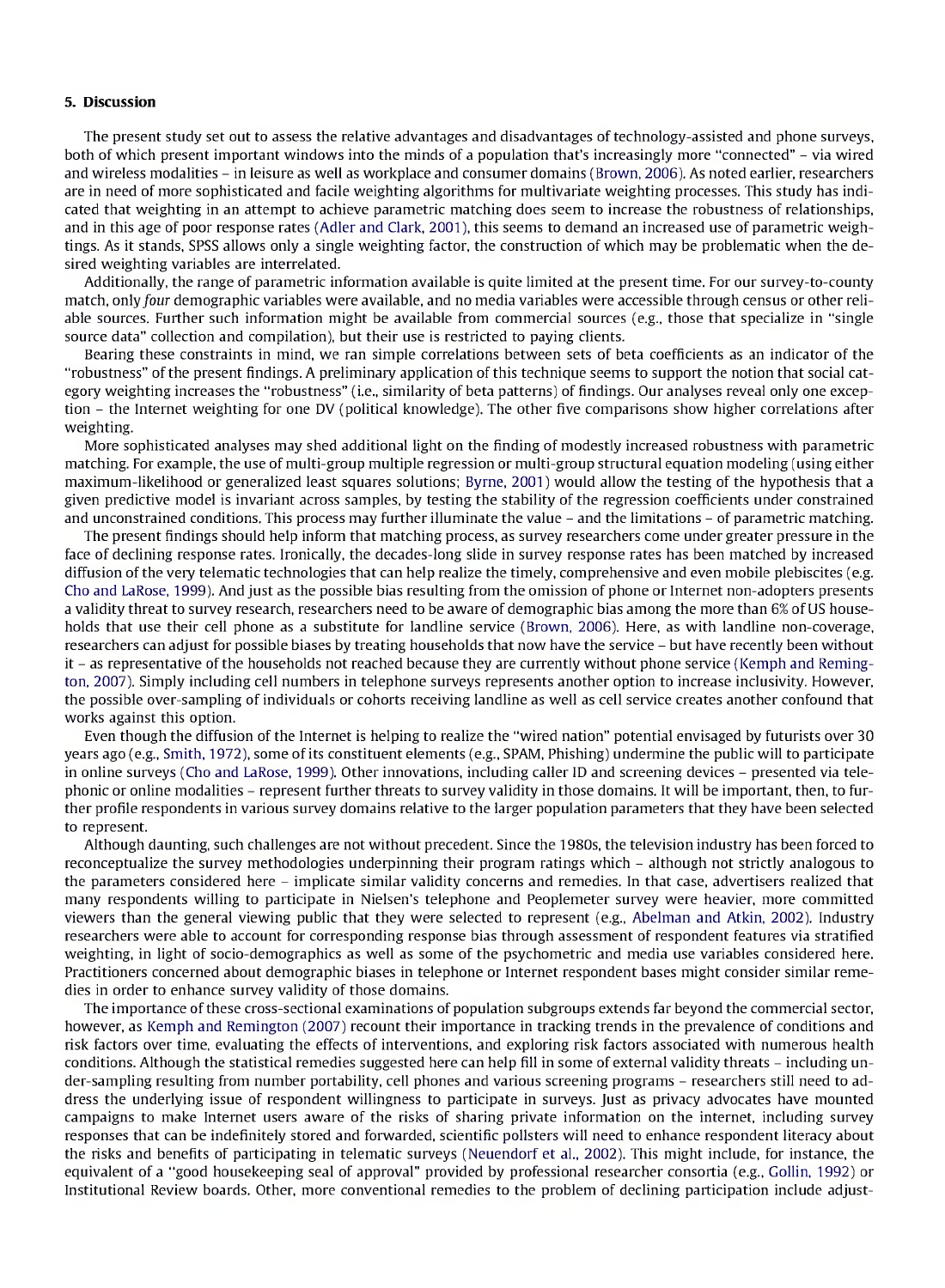#### **5. Discussion**

The present study set out to assess the relative advantages and disadvantages of technology-assisted and phone surveys, both of which present important windows into the minds of <sup>a</sup> population that's increasingly more "connected" - via wired and wireless modalities - in leisure as well as workplace and consumer domains (Brown, 2006). As noted earlier, researchers are in need of more sophisticated and facile weighting algorithms for multivariate weighting processes. This study has indicated that weighting in an attempt to achieve parametric matching does seem to increase the robustness of relationships, and in this age of poor response rates (Adler and Clark, 2001), this seems to demand an increased use of parametric weightings. As it stands, SPSS allows only a single weighting factor, the construction of which may be problematic when the desired weighting variables are interrelated.

Additionally, the range of parametric information available is quite limited at the present time. For our survey-to-county match, only four demographic variables were available, and no media variables were accessible through census or other reliable sources. Further such information might be available from commercial sources (e.g., those that specialize in "single source data" collection and compilation), but their use is restricted to paying clients.

Bearing these constraints in mind, we ran simple correlations between sets of beta coefficients as an indicator of the "robustness" ofthe present findings. A preliminary application ofthis technique seems to support the notion that social category weighting increases the "robustness" (i.e., similarity of beta patterns) of findings. Our analyses reveal only one exception - the Internet weighting for one DV (political knowledge). The other five comparisons show higher correlations after weighting.

More sophisticated analyses may shed additional light on the finding of modestly increased robustness with parametric matching. For example, the use of multi-group multiple regression or multi-group structural equation modeling (using either maximum-likelihood or generalized least squares solutions; Byrne, 2001) would allow the testing of the hypothesis that a given predictive model is invariant across samples, by testing the stability of the regression coefficients under constrained and unconstrained conditions. This process may further illuminate the value - and the limitations - of parametric matching.

The present findings should help inform that matching process, as survey researchers come under greater pressure in the face of declining response rates. Ironically, the decades-long slide in survey response rates has been matched by increased diffusion of the very telematic technologies that can help realize the timely, comprehensive and even mobile plebiscites (e.g. Cho and LaRose, 1999). And just as the possible bias resulting from the omission of phone or Internet non-adopters presents a validity threat to survey research, researchers need to be aware of demographic bias among the more than *6%* ofUS households that use their cell phone as a substitute for landline service (Brown, 2006). Here, as with landline non-coverage, researchers can adjust for possible biases by treating households that now have the service - but have recently been without it - as representative of the households not reached because they are currently without phone service (Kemph and Remington, 2007). Simply including cell numbers in telephone surveys represents another option to increase inclusivity. However, the possible over-sampling of individuals or cohorts receiving landline as well as cell service creates another confound that works against this option.

Even though the diffusion of the Internet is helping to realize the "wired nation" potential envisaged by futurists over 30 years ago (e.g., Smith, 1972), some ofits constituent elements (e.g., SPAM, Phishing) undermine the public will to participate in online surveys (Cho and LaRose, 1999). Other innovations, including caller ID and screening devices - presented via telephonic or online modalities - represent further threats to survey validity in those domains. It will be important, then, to further profile respondents in various survey domains relative to the larger population parameters that they have been selected to represent.

Although daunting, such challenges are not without precedent. Since the 1980s, the television industry has been forced to reconceptualize the survey methodologies underpinning their program ratings which - although not strictly analogous to the parameters considered here - implicate similar validity concerns and remedies. In that case, advertisers realized that many respondents willing to participate in Nielsen's telephone and Peoplemeter survey were heavier, more committed viewers than the general viewing public that they were selected to represent (e.g., Abelman and Atkin, 2002). Industry researchers were able to account for corresponding response bias through assessment of respondent features via stratified weighting, in light of socio-demographics as well as some of the psychometric and media use variables considered here. Practitioners concerned about demographic biases in telephone or Internet respondent bases might consider similar remedies in order to enhance survey validity of those domains.

The importance ofthese cross-sectional examinations of population subgroups extends far beyond the commercial sector, however, as Kemph and Remington (2007) recount their importance in tracking trends in the prevalence of conditions and risk factors over time, evaluating the effects of interventions, and exploring risk factors associated with numerous health conditions. Although the statistical remedies suggested here can help fill in some of external validity threats - including under-sampling resulting from number portability, cell phones and various screening programs - researchers still need to address the underlying issue of respondent willingness to participate in surveys. Just as privacy advocates have mounted campaigns to make Internet users aware of the risks of sharing private information on the internet, including survey responses that can be indefinitely stored and forwarded, scientific pollsters will need to enhance respondent literacy about the risks and benefits of participating in telematic surveys (Neuendorf et al., 2002). This might include, for instance, the equivalent of a "good housekeeping seal of approval" provided by professional researcher consortia (e.g., Gollin, 1992) or Institutional Review boards. Other, more conventional remedies to the problem of declining participation include adjust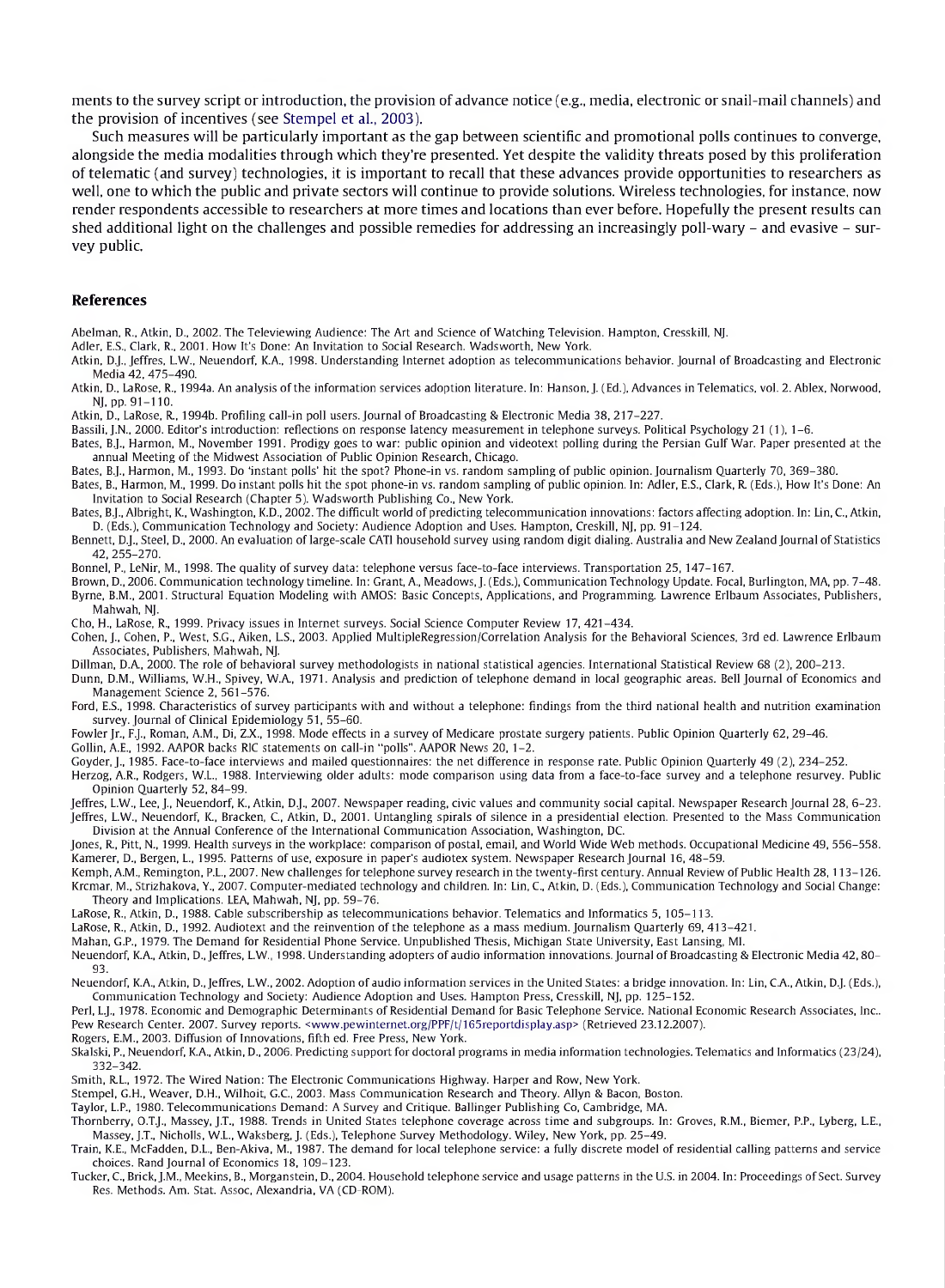merits to the survey script or introduction, the provision of advance notice (e.g., media, electronic or snail-mail channels) and the provision of incentives (see Stempel et al., 2003).

Such measures will be particularly important as the gap between scientific and promotional polls continues to converge, alongside the media modalities through which they're presented. Yet despite the validity threats posed by this proliferation of telematic (and survey) technologies, it is important to recall that these advances provide opportunities to researchers as well, one to which the public and private sectors will continue to provide solutions. Wireless technologies, for instance, now render respondents accessible to researchers at more times and locations than ever before. Hopefully the present results can shed additional light on the challenges and possible remedies for addressing an increasingly poll-wary  $-$  and evasive  $-$  survey public.

#### **References**

Abelman, R., Atkin, D., 2002. The Televiewing Audience: The Art and Science of Watching Television. Hampton, Cresskill, NJ.

Adler, E.S., Clark, R., 2001. How It's Done: An Invitation to Social Research. Wadsworth, New York.

- Atkin, D.J., Jeffres, L.W., Neuendorf, K.A., 1998. Understanding Internet adoption as telecommunications behavior. Journal of Broadcasting and Electronic Media 42, 475-490.
- Atkin, D., LaRose, R., 1994a. An analysis of the information services adoption literature. In: Hanson, J. (Ed.), Advances in Telematics, vol. 2. Ablex, Norwood, NJ, pp. 91-110.
- Atkin, D., LaRose, R., 1994b. Profiling call-in poll users. Journal of Broadcasting & Electronic Media 38, 217-227.

Bassili, J.N., 2000. Editor's introduction: reflections on response latency measurement in telephone surveys. Political Psychology 21 (1), 1-6.

- Bates, B.J., Harmon, M., November 1991. Prodigy goes to war: public opinion and videotext polling during the Persian Gulf War. Paper presented at the annual Meeting of the Midwest Association of Public Opinion Research, Chicago.
- Bates, B.J., Harmon, M., 1993. Do 'instant polls' hit the spot? Phone-in vs. random sampling of public opinion.Journalism Quarterly 70, 369-380.
- Bates, B., Harmon, M., 1999. Do instant polls hit the spot phone-in vs. random sampling of public opinion. In: Adler, E.S., Clark, R. (Eds.), How It's Done: An Invitation to Social Research (Chapter 5). Wadsworth Publishing Co., New York.
- Bates, B.J., Albright, K., Washington, K.D., 2002. The difficult world of predicting telecommunication innovations: factors affecting adoption. In: Lin, C., Atkin, D. (Eds.), Communication Technology and Society: Audience Adoption and Uses. Hampton, Creskill, NJ, pp. 91-124.
- Bennett, D.J., Steel, D., 2000. An evaluation of large-scale CATI household survey using random digit dialing. Australia and New Zealand Journal of Statistics 42, 255-270.
- Bonnel, P., LeNir, M., 1998. The quality of survey data: telephone versus face-to-face interviews. Transportation 25, 147-167.
- Brown, D., 2006. Communication technology timeline. In: Grant, A., Meadows,J. (Eds.), Communication Technology Update. Focal, Burlington, MA, pp. 7-48. Byrne, B.M., 2001. Structural Equation Modeling with AMOS: Basic Concepts, Applications, and Programming. Lawrence Erlbaum Associates, Publishers, Mahwah, NJ.

Cho, H., LaRose, R., 1999. Privacy issues in Internet surveys. Social Science Computer Review 17, 421-434.

Cohen, J., Cohen, P., West, S.G., Aiken, L.S., 2003. Applied MultipleRegression/Correlation Analysis for the Behavioral Sciences, 3rd ed. Lawrence Erlbaum Associates, Publishers, Mahwah, NJ.

Dillman, D.A., 2000. The role of behavioral survey methodologists in national statistical agencies. International Statistical Review 68 (2), 200-213.

- Dunn, D.M., Williams, W.H., Spivey, W.A., 1971. Analysis and prediction of telephone demand in local geographic areas. Bell Journal of Economics and Management Science 2, 561-576.
- Ford, E.S., 1998. Characteristics of survey participants with and without a telephone: findings from the third national health and nutrition examination survey. Journal of Clinical Epidemiology 51, 55-60.
- Fowler Jr., F.J., Roman, A.M., Di, Z.X., 1998. Mode effects in a survey of Medicare prostate surgery patients. Public Opinion Quarterly 62, 29-46.
- Gollin, A.E., 1992. AAPOR backs RIC statements on call-in "polls". AAPOR News 20, 1-2.
- Goyder, J., 1985. Face-to-face interviews and mailed questionnaires: the net difference in response rate. Public Opinion Quarterly 49 (2), 234-252.
- Herzog, A.R., Rodgers, W.L., 1988. Interviewing older adults: mode comparison using data from a face-to-face survey and a telephone resurvey. Public Opinion Quarterly 52, 84-99.
- Jeffres, L.W., Lee, J., Neuendorf, K., Atkin, D.J., 2007. Newspaper reading, civic values and community social capital. Newspaper Research Journal 28, 6-23. Jeffres, L.W., Neuendorf, K., Bracken, C., Atkin, D., 2001. Untangling spirals of silence in a presidential election. Presented to the Mass Communication Division at the Annual Conference of the International Communication Association, Washington, DC.
- Jones, R., Pitt, N., 1999. Health surveys in the workplace: comparison of postal, email, and World Wide Web methods. Occupational Medicine 49, 556-558. Kamerer, D., Bergen, L., 1995. Patterns of use, exposure in paper's audiotex system. Newspaper Research Journal 16, 48-59.
- Kemph, A.M., Remington, P.L., 2007. New challenges for telephone survey research in the twenty-first century. Annual Review of Public Health 28,113-126. Krcmar, M., Strizhakova, Y., 2007. Computer-mediated technology and children. In: Lin, C., Atkin, D. (Eds.), Communication Technology and Social Change: Theory and Implications. LEA, Mahwah, NJ, pp. 59-76.
- LaRose, R., Atkin, D., 1988. Cable subscribership as telecommunications behavior. Telematics and Informatics 5, 105-113.
- LaRose, R., Atkin, D., 1992. Audiotext and the reinvention of the telephone as a mass medium. Journalism Quarterly 69, 413-421.
- Mahan, G.P., 1979. The Demand for Residential Phone Service. Unpublished Thesis, Michigan State University, East Lansing, ML

Neuendorf, K.A., Atkin, D., Jeffres, L.W., 1998. Understanding adopters of audio information innovations. Journal of Broadcasting & Electronic Media 42, 80-93.

Neuendorf, K.A., Atkin, D.,Jeffres, L.W., 2002. Adoption of audio information services in the United States: a bridge innovation. In: Lin, C.A., Atkin, D.J. (Eds.), Communication Technology and Society: Audience Adoption and Uses. Hampton Press, Cresskill, NJ, pp. 125-152.

Perl, L.J., 1978. Economic and Demographic Determinants of Residential Demand for Basic Telephone Service. National Economic Research Associates, Inc.. Pew Research Center. 2007. Survey reports. [<www.pewinternet.org/PPF/t/165reportdisplay.asp](http://www.pewinternet.org/PPF/t/165reportdisplay.asp)> (Retrieved 23.12.2007).

- Rogers, E.M., 2003. Diffusion of Innovations, fifth ed. Free Press, New York.
- Skalski, P., Neuendorf, K.A., Atkin, D., 2006. Predicting support for doctoral programs in media information technologies. Telematics and Informatics (23/24), 332-342.

Smith, R.L., 1972. The Wired Nation: The Electronic Communications Highway. Harper and Row, New York.

Stempel, G.H., Weaver, D.H., Wilhoit, G.C., 2003. Mass Communication Research and Theory. Allyn & Bacon, Boston.

Taylor, L.P., 1980. Telecommunications Demand: A Survey and Critique. Ballinger Publishing Co, Cambridge, MA.

Thornberry, O.T.J., Massey, J.T., 1988. Trends in United States telephone coverage across time and subgroups. In: Groves, R.M., Biemer, P.P., Lyberg, L.E., Massey, J.T., Nicholls, W.L., Waksberg, J. (Eds.), Telephone Survey Methodology. Wiley, New York, pp. 25-49.

Train, K.E., McFadden, D.L., Ben-Akiva, M., 1987. The demand for local telephone service: a fully discrete model of residential calling patterns and service choices. Rand Journal of Economics 18, 109-123.

Tucker, C., Brick, J.M., Meekins, B., Morganstein, D., 2004. Household telephone service and usage patterns in the U.S. in 2004. In: Proceedings of Sect. Survey Res. Methods. Am. Stat. Assoc, Alexandria, VA (CD-ROM).